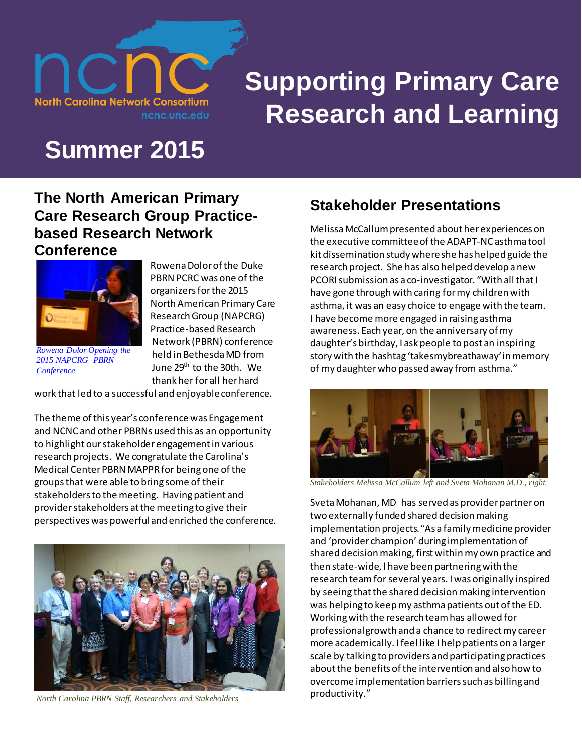

# **Supporting Primary Care Research and Learning**

## **Summer 2015**

#### **The North American Primary Care Research Group Practicebased Research Network Conference**



*[Rowena Dolor Opening the](http://www.napcrg.org/Portals/51/Documents/PBRN%20Meeting/2015%20Materials/OpeningClosing.pdf)  [2015 NAPCRG PBRN](http://www.napcrg.org/Portals/51/Documents/PBRN%20Meeting/2015%20Materials/OpeningClosing.pdf)  [Conference](http://www.napcrg.org/Portals/51/Documents/PBRN%20Meeting/2015%20Materials/OpeningClosing.pdf)*

Rowena Dolor of the Duke PBRN PCRC was one of the organizers for the 2015 North American Primary Care Research Group (NAPCRG) Practice-based Research Network (PBRN) conference held in Bethesda MD from June 29<sup>th</sup> to the 30th. We thank her for all her hard

work that led to a successful and enjoyable conference.

The theme of this year's conference was Engagement and NCNC and other PBRNs used this as an opportunity to highlight our stakeholder engagement in various research projects. We congratulate the Carolina's Medical Center PBRN MAPPRfor being one of the groups that were able to bring some of their stakeholders to the meeting. Having patient and provider stakeholders at the meeting to give their perspectives was powerful and enriched the conference.



*North Carolina PBRN Staff, Researchers and Stakeholders* 

## **Stakeholder Presentations**

Melissa McCallum presented about her experiences on the executive committee of the ADAPT-NC asthma tool kit dissemination study where she has helped guide the research project. She has also helped develop a new PCORI submission as a co-investigator. "With all that I have gone through with caring for my children with asthma, it was an easy choice to engage with the team. I have become more engaged in raising asthma awareness. Each year, on the anniversary of my daughter's birthday, I ask people to post an inspiring story with the hashtag 'takesmybreathaway'in memory of my daughter who passed away from asthma."



*Stakeholders Melissa McCallum left and Sveta Mohanan M.D., right.*

Sveta Mohanan, MD has served as provider partner on two externally funded shared decision making implementation projects. "As a family medicine provider and 'provider champion' during implementation of shared decision making, first within my own practice and then state-wide, I have been partnering with the research team for several years. I was originally inspired by seeing that the shared decision making intervention was helping to keep my asthma patients out of the ED. Working with the research team has allowed for professional growth and a chance to redirect my career more academically. I feel like I help patients on a larger scale by talking to providers and participating practices about the benefits of the intervention and also how to overcome implementation barriers such as billing and productivity."